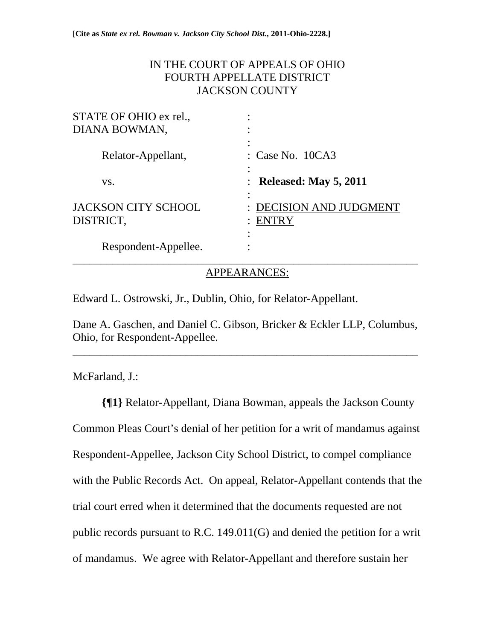## IN THE COURT OF APPEALS OF OHIO FOURTH APPELLATE DISTRICT JACKSON COUNTY

| STATE OF OHIO ex rel.,                  |                                       |
|-----------------------------------------|---------------------------------------|
| DIANA BOWMAN,                           |                                       |
| Relator-Appellant,                      | $\therefore$ Case No. 10CA3           |
| VS.                                     | $\therefore$ Released: May 5, 2011    |
| <b>JACKSON CITY SCHOOL</b><br>DISTRICT, | <b>DECISION AND JUDGMENT</b><br>ENTRY |
| Respondent-Appellee.                    |                                       |

APPEARANCES:

Edward L. Ostrowski, Jr., Dublin, Ohio, for Relator-Appellant.

Dane A. Gaschen, and Daniel C. Gibson, Bricker & Eckler LLP, Columbus, Ohio, for Respondent-Appellee.

\_\_\_\_\_\_\_\_\_\_\_\_\_\_\_\_\_\_\_\_\_\_\_\_\_\_\_\_\_\_\_\_\_\_\_\_\_\_\_\_\_\_\_\_\_\_\_\_\_\_\_\_\_\_\_\_\_\_\_\_\_

McFarland, J.:

**{¶1}** Relator-Appellant, Diana Bowman, appeals the Jackson County Common Pleas Court's denial of her petition for a writ of mandamus against Respondent-Appellee, Jackson City School District, to compel compliance with the Public Records Act. On appeal, Relator-Appellant contends that the trial court erred when it determined that the documents requested are not public records pursuant to R.C. 149.011(G) and denied the petition for a writ of mandamus. We agree with Relator-Appellant and therefore sustain her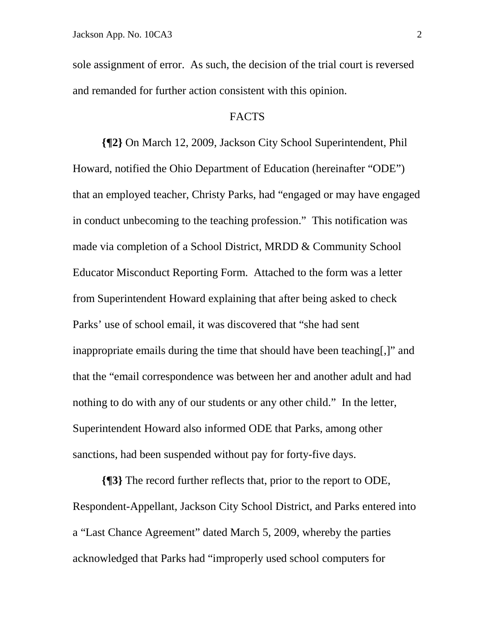sole assignment of error. As such, the decision of the trial court is reversed and remanded for further action consistent with this opinion.

#### FACTS

 **{¶2}** On March 12, 2009, Jackson City School Superintendent, Phil Howard, notified the Ohio Department of Education (hereinafter "ODE") that an employed teacher, Christy Parks, had "engaged or may have engaged in conduct unbecoming to the teaching profession." This notification was made via completion of a School District, MRDD & Community School Educator Misconduct Reporting Form. Attached to the form was a letter from Superintendent Howard explaining that after being asked to check Parks' use of school email, it was discovered that "she had sent inappropriate emails during the time that should have been teaching[,]" and that the "email correspondence was between her and another adult and had nothing to do with any of our students or any other child." In the letter, Superintendent Howard also informed ODE that Parks, among other sanctions, had been suspended without pay for forty-five days.

**{¶3}** The record further reflects that, prior to the report to ODE, Respondent-Appellant, Jackson City School District, and Parks entered into a "Last Chance Agreement" dated March 5, 2009, whereby the parties acknowledged that Parks had "improperly used school computers for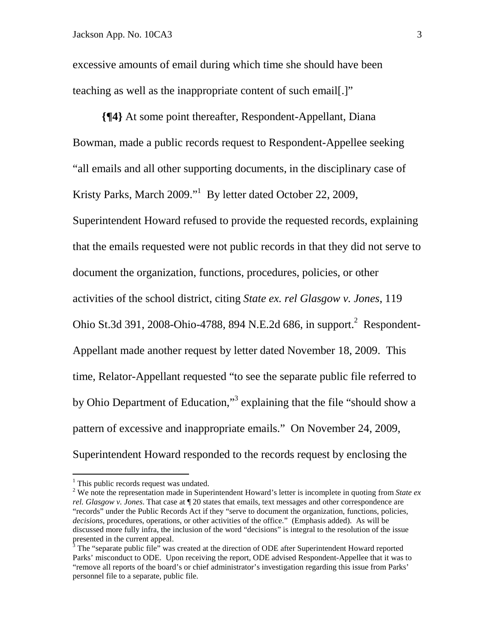excessive amounts of email during which time she should have been teaching as well as the inappropriate content of such email[.]"

**{¶4}** At some point thereafter, Respondent-Appellant, Diana Bowman, made a public records request to Respondent-Appellee seeking "all emails and all other supporting documents, in the disciplinary case of Kristy Parks, March 2009."<sup>1</sup> By letter dated October 22, 2009, Superintendent Howard refused to provide the requested records, explaining that the emails requested were not public records in that they did not serve to document the organization, functions, procedures, policies, or other activities of the school district, citing *State ex. rel Glasgow v. Jones*, 119 Ohio St.3d 391, 2008-Ohio-4788, 894 N.E.2d 686, in support.<sup>2</sup> Respondent-Appellant made another request by letter dated November 18, 2009. This time, Relator-Appellant requested "to see the separate public file referred to by Ohio Department of Education,"<sup>3</sup> explaining that the file "should show a pattern of excessive and inappropriate emails." On November 24, 2009, Superintendent Howard responded to the records request by enclosing the

1

<sup>&</sup>lt;sup>1</sup> This public records request was undated.

<sup>&</sup>lt;sup>2</sup> We note the representation made in Superintendent Howard's letter is incomplete in quoting from *State ex rel. Glasgow v. Jones*. That case at ¶ 20 states that emails, text messages and other correspondence are "records" under the Public Records Act if they "serve to document the organization, functions, policies, *decisions*, procedures, operations, or other activities of the office." (Emphasis added). As will be discussed more fully infra, the inclusion of the word "decisions" is integral to the resolution of the issue presented in the current appeal.

 $3$  The "separate public file" was created at the direction of ODE after Superintendent Howard reported Parks' misconduct to ODE. Upon receiving the report, ODE advised Respondent-Appellee that it was to "remove all reports of the board's or chief administrator's investigation regarding this issue from Parks' personnel file to a separate, public file.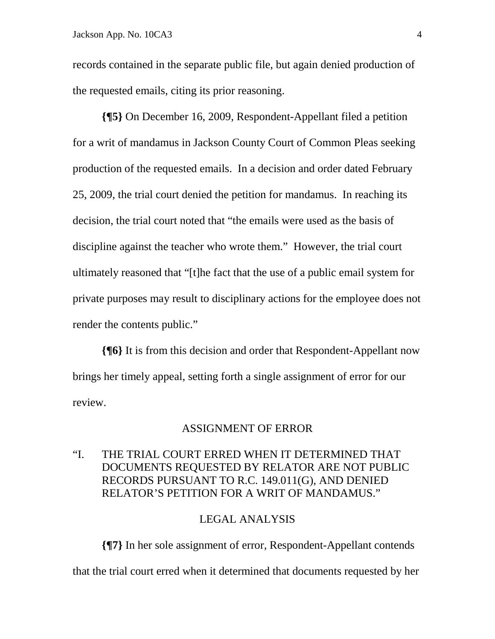records contained in the separate public file, but again denied production of the requested emails, citing its prior reasoning.

**{¶5}** On December 16, 2009, Respondent-Appellant filed a petition for a writ of mandamus in Jackson County Court of Common Pleas seeking production of the requested emails. In a decision and order dated February 25, 2009, the trial court denied the petition for mandamus. In reaching its decision, the trial court noted that "the emails were used as the basis of discipline against the teacher who wrote them." However, the trial court ultimately reasoned that "[t]he fact that the use of a public email system for private purposes may result to disciplinary actions for the employee does not render the contents public."

**{¶6}** It is from this decision and order that Respondent-Appellant now brings her timely appeal, setting forth a single assignment of error for our review.

#### ASSIGNMENT OF ERROR

## "I. THE TRIAL COURT ERRED WHEN IT DETERMINED THAT DOCUMENTS REQUESTED BY RELATOR ARE NOT PUBLIC RECORDS PURSUANT TO R.C. 149.011(G), AND DENIED RELATOR'S PETITION FOR A WRIT OF MANDAMUS."

#### LEGAL ANALYSIS

**{¶7}** In her sole assignment of error, Respondent-Appellant contends that the trial court erred when it determined that documents requested by her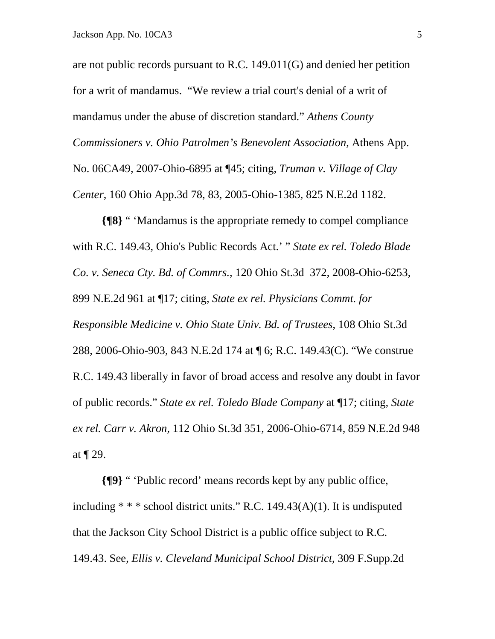are not public records pursuant to R.C. 149.011(G) and denied her petition for a writ of mandamus. "We review a trial court's denial of a writ of mandamus under the abuse of discretion standard." *Athens County Commissioners v. Ohio Patrolmen's Benevolent Association*, Athens App. No. 06CA49, 2007-Ohio-6895 at ¶45; citing, *Truman v. Village of Clay Center*, 160 Ohio App.3d 78, 83, 2005-Ohio-1385, 825 N.E.2d 1182.

**{¶8}** " 'Mandamus is the appropriate remedy to compel compliance with R.C. 149.43, Ohio's Public Records Act.' " *State ex rel. Toledo Blade Co. v. Seneca Cty. Bd. of Commrs.*, 120 Ohio St.3d 372, 2008-Ohio-6253, 899 N.E.2d 961 at ¶17; citing, *State ex rel. Physicians Commt. for Responsible Medicine v. Ohio State Univ. Bd. of Trustees*, 108 Ohio St.3d 288, 2006-Ohio-903, 843 N.E.2d 174 at ¶ 6; R.C. 149.43(C). "We construe R.C. 149.43 liberally in favor of broad access and resolve any doubt in favor of public records." *State ex rel. Toledo Blade Company* at ¶17; citing*, State ex rel. Carr v. Akron*, 112 Ohio St.3d 351, 2006-Ohio-6714, 859 N.E.2d 948 at ¶ 29.

**{¶9}** " 'Public record' means records kept by any public office, including  $**$  school district units." R.C. 149.43(A)(1). It is undisputed that the Jackson City School District is a public office subject to R.C. 149.43. See, *Ellis v. Cleveland Municipal School District*, 309 F.Supp.2d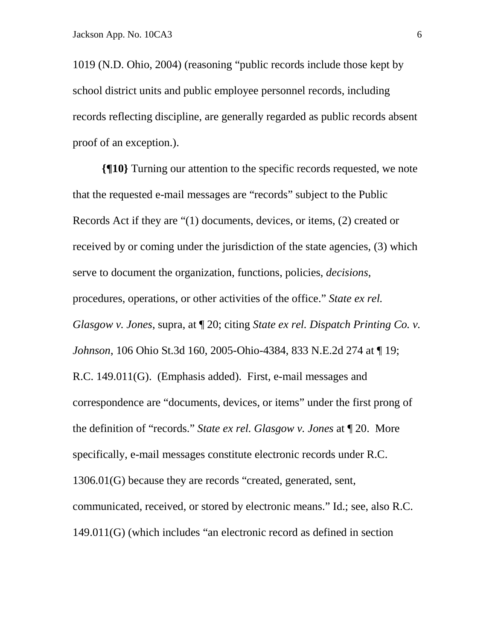1019 (N.D. Ohio, 2004) (reasoning "public records include those kept by school district units and public employee personnel records, including records reflecting discipline, are generally regarded as public records absent proof of an exception.).

**{¶10}** Turning our attention to the specific records requested, we note that the requested e-mail messages are "records" subject to the Public Records Act if they are "(1) documents, devices, or items, (2) created or received by or coming under the jurisdiction of the state agencies, (3) which serve to document the organization, functions, policies, *decisions*, procedures, operations, or other activities of the office." *State ex rel. Glasgow v. Jones*, supra, at ¶ 20; citing *State ex rel. Dispatch Printing Co. v. Johnson*, 106 Ohio St.3d 160, 2005-Ohio-4384, 833 N.E.2d 274 at ¶ 19; R.C. 149.011(G). (Emphasis added). First, e-mail messages and correspondence are "documents, devices, or items" under the first prong of the definition of "records." *State ex rel. Glasgow v. Jones* at ¶ 20. More specifically, e-mail messages constitute electronic records under R.C. 1306.01(G) because they are records "created, generated, sent, communicated, received, or stored by electronic means." Id.; see, also R.C. 149.011(G) (which includes "an electronic record as defined in section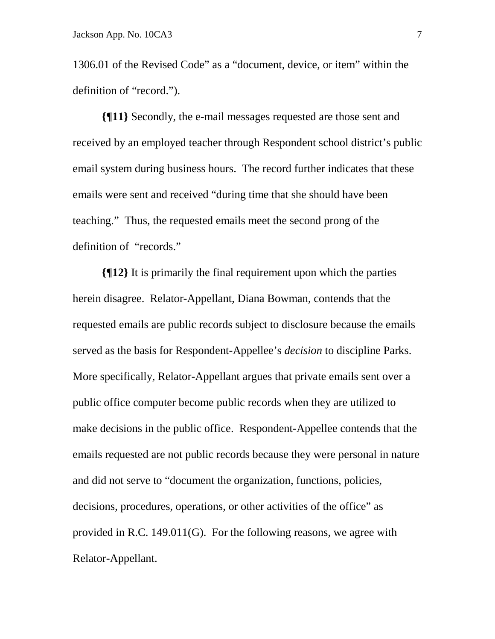1306.01 of the Revised Code" as a "document, device, or item" within the definition of "record.").

**{¶11}** Secondly, the e-mail messages requested are those sent and received by an employed teacher through Respondent school district's public email system during business hours. The record further indicates that these emails were sent and received "during time that she should have been teaching." Thus, the requested emails meet the second prong of the definition of "records."

**{¶12}** It is primarily the final requirement upon which the parties herein disagree. Relator-Appellant, Diana Bowman, contends that the requested emails are public records subject to disclosure because the emails served as the basis for Respondent-Appellee's *decision* to discipline Parks. More specifically, Relator-Appellant argues that private emails sent over a public office computer become public records when they are utilized to make decisions in the public office. Respondent-Appellee contends that the emails requested are not public records because they were personal in nature and did not serve to "document the organization, functions, policies, decisions, procedures, operations, or other activities of the office" as provided in R.C. 149.011(G). For the following reasons, we agree with Relator-Appellant.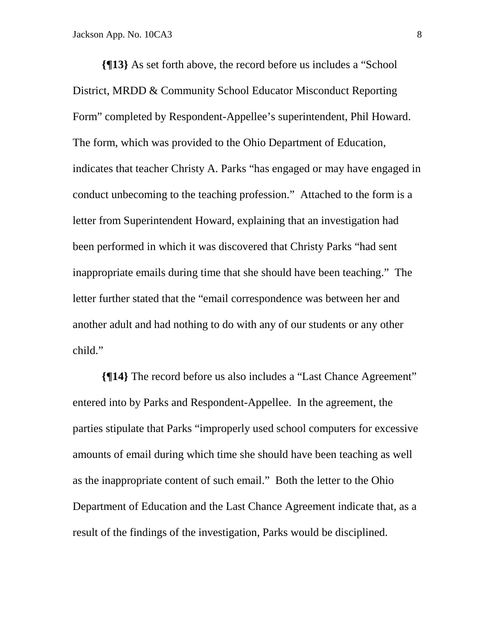**{¶13}** As set forth above, the record before us includes a "School District, MRDD & Community School Educator Misconduct Reporting Form" completed by Respondent-Appellee's superintendent, Phil Howard. The form, which was provided to the Ohio Department of Education, indicates that teacher Christy A. Parks "has engaged or may have engaged in conduct unbecoming to the teaching profession." Attached to the form is a letter from Superintendent Howard, explaining that an investigation had been performed in which it was discovered that Christy Parks "had sent inappropriate emails during time that she should have been teaching." The letter further stated that the "email correspondence was between her and another adult and had nothing to do with any of our students or any other child."

**{¶14}** The record before us also includes a "Last Chance Agreement" entered into by Parks and Respondent-Appellee. In the agreement, the parties stipulate that Parks "improperly used school computers for excessive amounts of email during which time she should have been teaching as well as the inappropriate content of such email." Both the letter to the Ohio Department of Education and the Last Chance Agreement indicate that, as a result of the findings of the investigation, Parks would be disciplined.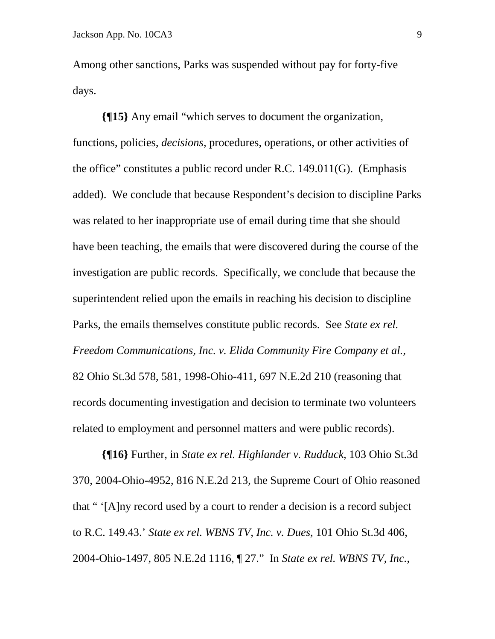Among other sanctions, Parks was suspended without pay for forty-five days.

**{¶15}** Any email "which serves to document the organization, functions, policies, *decisions*, procedures, operations, or other activities of the office" constitutes a public record under R.C. 149.011(G). (Emphasis added). We conclude that because Respondent's decision to discipline Parks was related to her inappropriate use of email during time that she should have been teaching, the emails that were discovered during the course of the investigation are public records. Specifically, we conclude that because the superintendent relied upon the emails in reaching his decision to discipline Parks, the emails themselves constitute public records. See *State ex rel. Freedom Communications, Inc. v. Elida Community Fire Company et al.*, 82 Ohio St.3d 578, 581, 1998-Ohio-411, 697 N.E.2d 210 (reasoning that records documenting investigation and decision to terminate two volunteers related to employment and personnel matters and were public records).

**{¶16}** Further, in *State ex rel. Highlander v. Rudduck*, 103 Ohio St.3d 370, 2004-Ohio-4952, 816 N.E.2d 213, the Supreme Court of Ohio reasoned that " '[A]ny record used by a court to render a decision is a record subject to R.C. 149.43.' *State ex rel. WBNS TV, Inc. v. Dues,* 101 Ohio St.3d 406, 2004-Ohio-1497, 805 N.E.2d 1116, ¶ 27." In *State ex rel. WBNS TV, Inc.*,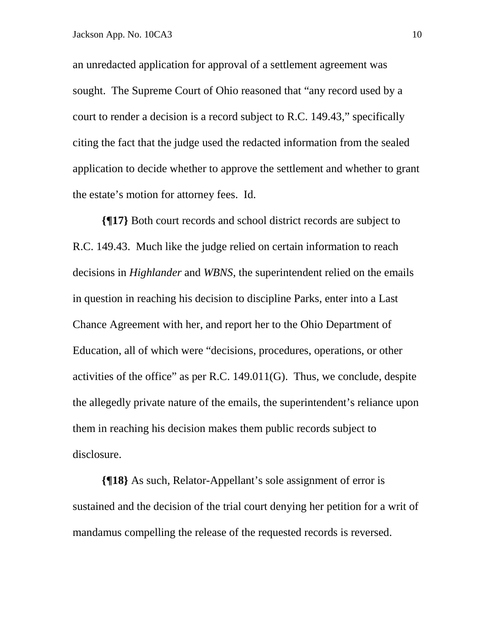an unredacted application for approval of a settlement agreement was sought. The Supreme Court of Ohio reasoned that "any record used by a court to render a decision is a record subject to R.C. 149.43," specifically citing the fact that the judge used the redacted information from the sealed application to decide whether to approve the settlement and whether to grant the estate's motion for attorney fees. Id.

**{¶17}** Both court records and school district records are subject to R.C. 149.43. Much like the judge relied on certain information to reach decisions in *Highlander* and *WBNS*, the superintendent relied on the emails in question in reaching his decision to discipline Parks, enter into a Last Chance Agreement with her, and report her to the Ohio Department of Education, all of which were "decisions, procedures, operations, or other activities of the office" as per R.C.  $149.011(G)$ . Thus, we conclude, despite the allegedly private nature of the emails, the superintendent's reliance upon them in reaching his decision makes them public records subject to disclosure.

**{¶18}** As such, Relator-Appellant's sole assignment of error is sustained and the decision of the trial court denying her petition for a writ of mandamus compelling the release of the requested records is reversed.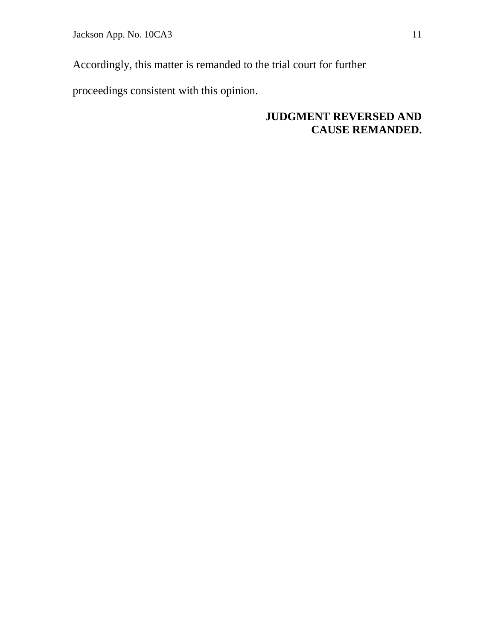Jackson App. No. 10CA3 11

Accordingly, this matter is remanded to the trial court for further

proceedings consistent with this opinion.

# **JUDGMENT REVERSED AND CAUSE REMANDED.**